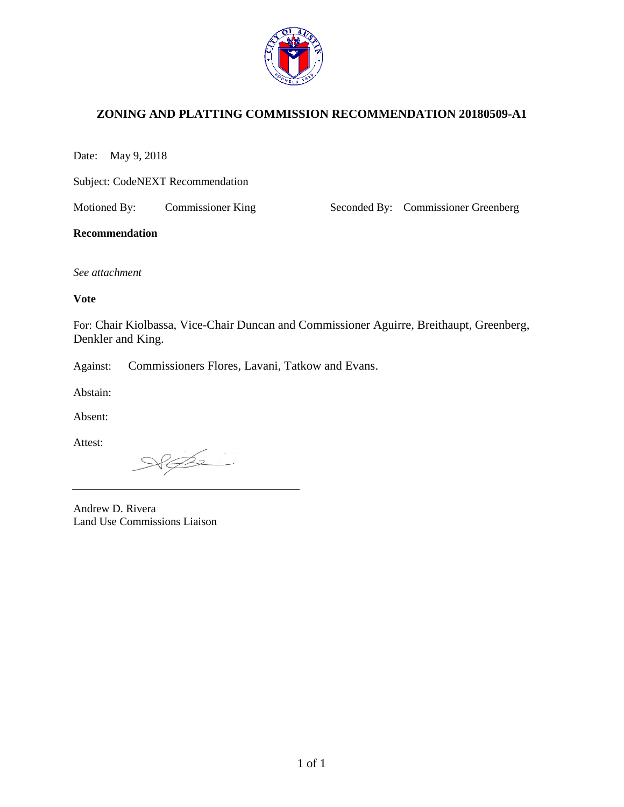

# **ZONING AND PLATTING COMMISSION RECOMMENDATION 20180509-A1**

Date: May 9, 2018

Subject: CodeNEXT Recommendation

Motioned By: Commissioner King Seconded By: Commissioner Greenberg

#### **Recommendation**

*See attachment*

#### **Vote**

For: Chair Kiolbassa, Vice-Chair Duncan and Commissioner Aguirre, Breithaupt, Greenberg, Denkler and King.

Against: Commissioners Flores, Lavani, Tatkow and Evans.

Abstain:

Absent:

Attest:

 $\mathbb{Z}$ 

Andrew D. Rivera Land Use Commissions Liaison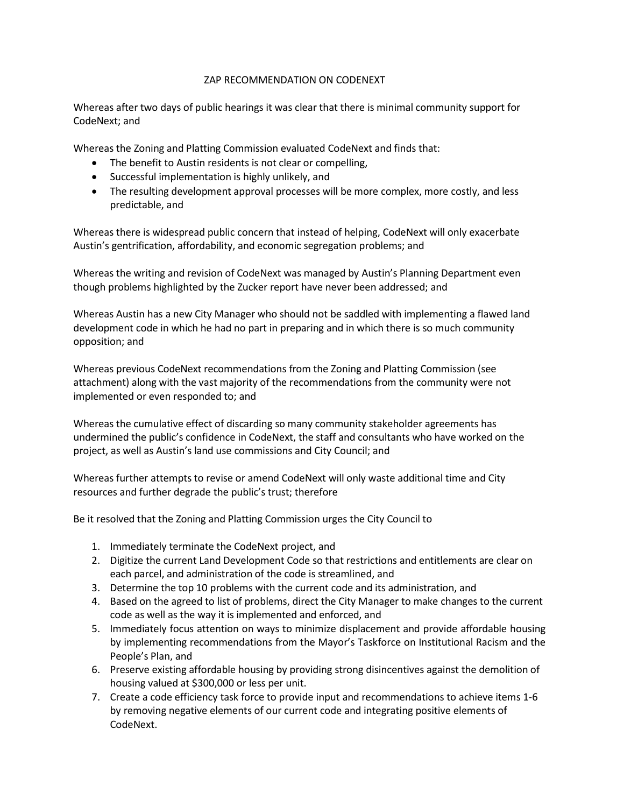#### ZAP RECOMMENDATION ON CODENEXT

Whereas after two days of public hearings it was clear that there is minimal community support for CodeNext; and

Whereas the Zoning and Platting Commission evaluated CodeNext and finds that:

- The benefit to Austin residents is not clear or compelling,
- Successful implementation is highly unlikely, and
- The resulting development approval processes will be more complex, more costly, and less predictable, and

Whereas there is widespread public concern that instead of helping, CodeNext will only exacerbate Austin's gentrification, affordability, and economic segregation problems; and

Whereas the writing and revision of CodeNext was managed by Austin's Planning Department even though problems highlighted by the Zucker report have never been addressed; and

Whereas Austin has a new City Manager who should not be saddled with implementing a flawed land development code in which he had no part in preparing and in which there is so much community opposition; and

Whereas previous CodeNext recommendations from the Zoning and Platting Commission (see attachment) along with the vast majority of the recommendations from the community were not implemented or even responded to; and

Whereas the cumulative effect of discarding so many community stakeholder agreements has undermined the public's confidence in CodeNext, the staff and consultants who have worked on the project, as well as Austin's land use commissions and City Council; and

Whereas further attempts to revise or amend CodeNext will only waste additional time and City resources and further degrade the public's trust; therefore

Be it resolved that the Zoning and Platting Commission urges the City Council to

- 1. Immediately terminate the CodeNext project, and
- 2. Digitize the current Land Development Code so that restrictions and entitlements are clear on each parcel, and administration of the code is streamlined, and
- 3. Determine the top 10 problems with the current code and its administration, and
- 4. Based on the agreed to list of problems, direct the City Manager to make changes to the current code as well as the way it is implemented and enforced, and
- 5. Immediately focus attention on ways to minimize displacement and provide affordable housing by implementing recommendations from the Mayor's Taskforce on Institutional Racism and the People's Plan, and
- 6. Preserve existing affordable housing by providing strong disincentives against the demolition of housing valued at \$300,000 or less per unit.
- 7. Create a code efficiency task force to provide input and recommendations to achieve items 1-6 by removing negative elements of our current code and integrating positive elements of CodeNext.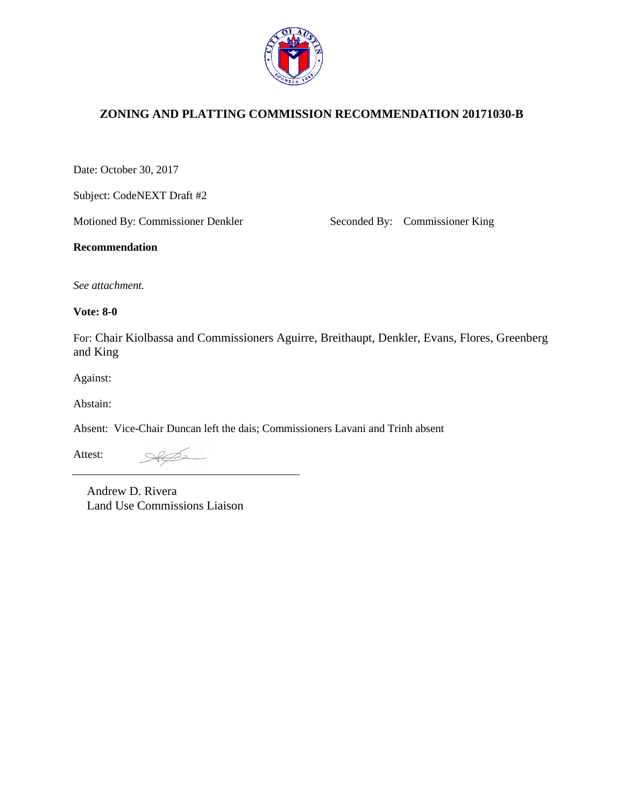

# **ZONING AND PLATTING COMMISSION RECOMMENDATION 20171030-B**

Date: October 30, 2017

Subject: CodeNEXT Draft #2

Motioned By: Commissioner Denkler Seconded By: Commissioner King

**Recommendation**

*See attachment.*

**Vote: 8-0** 

For: Chair Kiolbassa and Commissioners Aguirre, Breithaupt, Denkler, Evans, Flores, Greenberg and King

Against:

Abstain:

Absent: Vice-Chair Duncan left the dais; Commissioners Lavani and Trinh absent

Attest:

 $862$ 

1 of 1 Andrew D. Rivera Land Use Commissions Liaison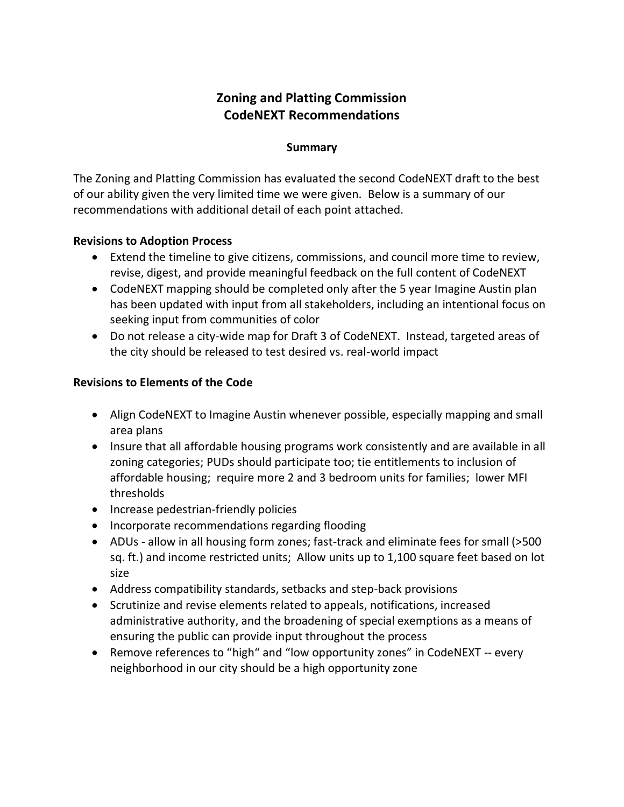# **Zoning and Platting Commission CodeNEXT Recommendations**

#### **Summary**

The Zoning and Platting Commission has evaluated the second CodeNEXT draft to the best of our ability given the very limited time we were given. Below is a summary of our recommendations with additional detail of each point attached.

## **Revisions to Adoption Process**

- Extend the timeline to give citizens, commissions, and council more time to review, revise, digest, and provide meaningful feedback on the full content of CodeNEXT
- CodeNEXT mapping should be completed only after the 5 year Imagine Austin plan has been updated with input from all stakeholders, including an intentional focus on seeking input from communities of color
- Do not release a city-wide map for Draft 3 of CodeNEXT. Instead, targeted areas of the city should be released to test desired vs. real-world impact

## **Revisions to Elements of the Code**

- Align CodeNEXT to Imagine Austin whenever possible, especially mapping and small area plans
- Insure that all affordable housing programs work consistently and are available in all zoning categories; PUDs should participate too; tie entitlements to inclusion of affordable housing; require more 2 and 3 bedroom units for families; lower MFI thresholds
- Increase pedestrian-friendly policies
- Incorporate recommendations regarding flooding
- ADUs allow in all housing form zones; fast-track and eliminate fees for small (>500 sq. ft.) and income restricted units; Allow units up to 1,100 square feet based on lot size
- Address compatibility standards, setbacks and step-back provisions
- Scrutinize and revise elements related to appeals, notifications, increased administrative authority, and the broadening of special exemptions as a means of ensuring the public can provide input throughout the process
- Remove references to "high" and "low opportunity zones" in CodeNEXT -- every neighborhood in our city should be a high opportunity zone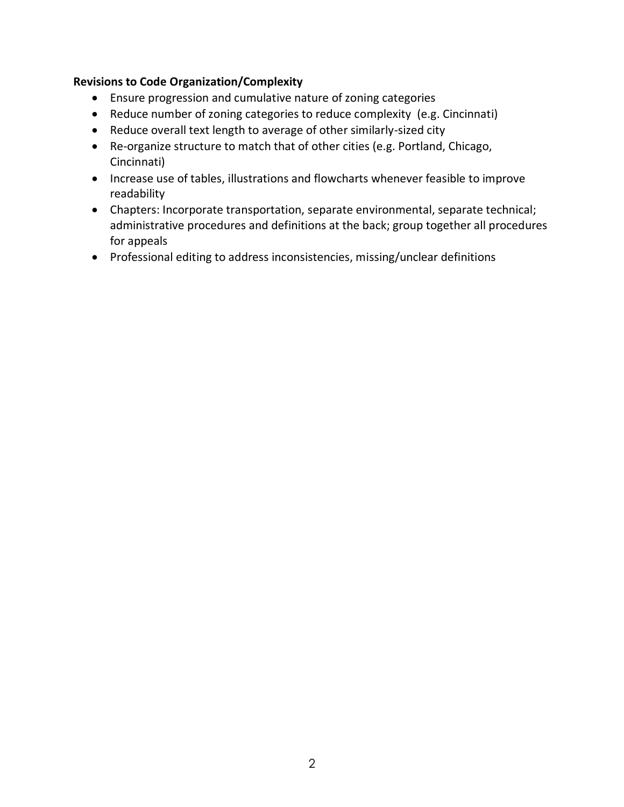## **Revisions to Code Organization/Complexity**

- Ensure progression and cumulative nature of zoning categories
- Reduce number of zoning categories to reduce complexity (e.g. Cincinnati)
- Reduce overall text length to average of other similarly-sized city
- Re-organize structure to match that of other cities (e.g. Portland, Chicago, Cincinnati)
- Increase use of tables, illustrations and flowcharts whenever feasible to improve readability
- Chapters: Incorporate transportation, separate environmental, separate technical; administrative procedures and definitions at the back; group together all procedures for appeals
- Professional editing to address inconsistencies, missing/unclear definitions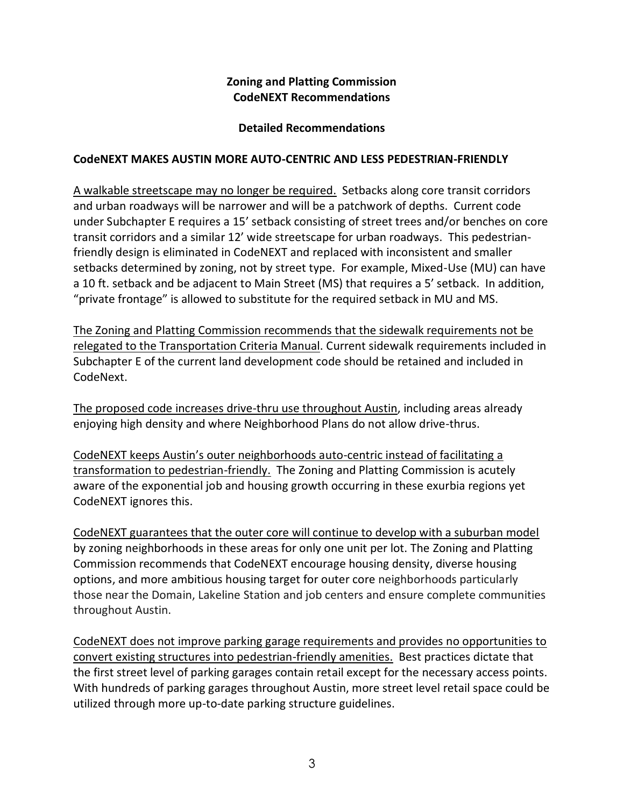# **Zoning and Platting Commission CodeNEXT Recommendations**

# **Detailed Recommendations**

## **CodeNEXT MAKES AUSTIN MORE AUTO-CENTRIC AND LESS PEDESTRIAN-FRIENDLY**

A walkable streetscape may no longer be required. Setbacks along core transit corridors and urban roadways will be narrower and will be a patchwork of depths. Current code under Subchapter E requires a 15' setback consisting of street trees and/or benches on core transit corridors and a similar 12' wide streetscape for urban roadways. This pedestrianfriendly design is eliminated in CodeNEXT and replaced with inconsistent and smaller setbacks determined by zoning, not by street type. For example, Mixed-Use (MU) can have a 10 ft. setback and be adjacent to Main Street (MS) that requires a 5' setback. In addition, "private frontage" is allowed to substitute for the required setback in MU and MS.

The Zoning and Platting Commission recommends that the sidewalk requirements not be relegated to the Transportation Criteria Manual. Current sidewalk requirements included in Subchapter E of the current land development code should be retained and included in CodeNext.

The proposed code increases drive-thru use throughout Austin, including areas already enjoying high density and where Neighborhood Plans do not allow drive-thrus.

CodeNEXT keeps Austin's outer neighborhoods auto-centric instead of facilitating a transformation to pedestrian-friendly. The Zoning and Platting Commission is acutely aware of the exponential job and housing growth occurring in these exurbia regions yet CodeNEXT ignores this.

CodeNEXT guarantees that the outer core will continue to develop with a suburban model by zoning neighborhoods in these areas for only one unit per lot. The Zoning and Platting Commission recommends that CodeNEXT encourage housing density, diverse housing options, and more ambitious housing target for outer core neighborhoods particularly those near the Domain, Lakeline Station and job centers and ensure complete communities throughout Austin.

CodeNEXT does not improve parking garage requirements and provides no opportunities to convert existing structures into pedestrian-friendly amenities.Best practices dictate that the first street level of parking garages contain retail except for the necessary access points. With hundreds of parking garages throughout Austin, more street level retail space could be utilized through more up-to-date parking structure guidelines.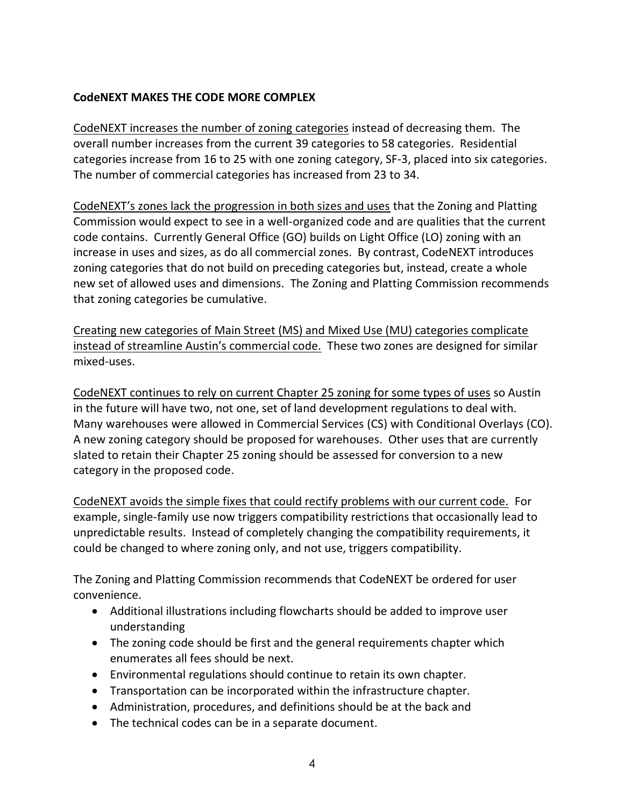# **CodeNEXT MAKES THE CODE MORE COMPLEX**

CodeNEXT increases the number of zoning categories instead of decreasing them. The overall number increases from the current 39 categories to 58 categories. Residential categories increase from 16 to 25 with one zoning category, SF-3, placed into six categories. The number of commercial categories has increased from 23 to 34.

CodeNEXT's zones lack the progression in both sizes and uses that the Zoning and Platting Commission would expect to see in a well-organized code and are qualities that the current code contains. Currently General Office (GO) builds on Light Office (LO) zoning with an increase in uses and sizes, as do all commercial zones. By contrast, CodeNEXT introduces zoning categories that do not build on preceding categories but, instead, create a whole new set of allowed uses and dimensions. The Zoning and Platting Commission recommends that zoning categories be cumulative.

Creating new categories of Main Street (MS) and Mixed Use (MU) categories complicate instead of streamline Austin's commercial code. These two zones are designed for similar mixed-uses.

CodeNEXT continues to rely on current Chapter 25 zoning for some types of uses so Austin in the future will have two, not one, set of land development regulations to deal with. Many warehouses were allowed in Commercial Services (CS) with Conditional Overlays (CO). A new zoning category should be proposed for warehouses. Other uses that are currently slated to retain their Chapter 25 zoning should be assessed for conversion to a new category in the proposed code.

CodeNEXT avoids the simple fixes that could rectify problems with our current code. For example, single-family use now triggers compatibility restrictions that occasionally lead to unpredictable results. Instead of completely changing the compatibility requirements, it could be changed to where zoning only, and not use, triggers compatibility.

The Zoning and Platting Commission recommends that CodeNEXT be ordered for user convenience.

- Additional illustrations including flowcharts should be added to improve user understanding
- The zoning code should be first and the general requirements chapter which enumerates all fees should be next.
- Environmental regulations should continue to retain its own chapter.
- Transportation can be incorporated within the infrastructure chapter.
- Administration, procedures, and definitions should be at the back and
- The technical codes can be in a separate document.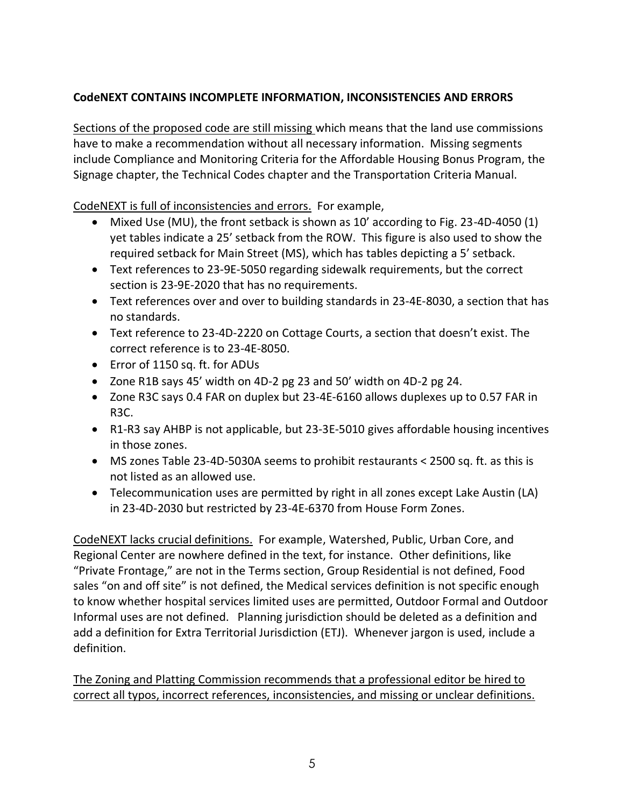# **CodeNEXT CONTAINS INCOMPLETE INFORMATION, INCONSISTENCIES AND ERRORS**

Sections of the proposed code are still missing which means that the land use commissions have to make a recommendation without all necessary information. Missing segments include Compliance and Monitoring Criteria for the Affordable Housing Bonus Program, the Signage chapter, the Technical Codes chapter and the Transportation Criteria Manual.

CodeNEXT is full of inconsistencies and errors. For example,

- Mixed Use (MU), the front setback is shown as 10' according to Fig. 23-4D-4050 (1) yet tables indicate a 25' setback from the ROW. This figure is also used to show the required setback for Main Street (MS), which has tables depicting a 5' setback.
- Text references to 23-9E-5050 regarding sidewalk requirements, but the correct section is 23-9E-2020 that has no requirements.
- Text references over and over to building standards in 23-4E-8030, a section that has no standards.
- Text reference to 23-4D-2220 on Cottage Courts, a section that doesn't exist. The correct reference is to 23-4E-8050.
- Error of 1150 sq. ft. for ADUs
- Zone R1B says 45' width on 4D-2 pg 23 and 50' width on 4D-2 pg 24.
- Zone R3C says 0.4 FAR on duplex but 23-4E-6160 allows duplexes up to 0.57 FAR in R3C.
- R1-R3 say AHBP is not applicable, but 23-3E-5010 gives affordable housing incentives in those zones.
- MS zones Table 23-4D-5030A seems to prohibit restaurants < 2500 sq. ft. as this is not listed as an allowed use.
- Telecommunication uses are permitted by right in all zones except Lake Austin (LA) in 23-4D-2030 but restricted by 23-4E-6370 from House Form Zones.

CodeNEXT lacks crucial definitions. For example, Watershed, Public, Urban Core, and Regional Center are nowhere defined in the text, for instance. Other definitions, like "Private Frontage," are not in the Terms section, Group Residential is not defined, Food sales "on and off site" is not defined, the Medical services definition is not specific enough to know whether hospital services limited uses are permitted, Outdoor Formal and Outdoor Informal uses are not defined. Planning jurisdiction should be deleted as a definition and add a definition for Extra Territorial Jurisdiction (ETJ). Whenever jargon is used, include a definition.

The Zoning and Platting Commission recommends that a professional editor be hired to correct all typos, incorrect references, inconsistencies, and missing or unclear definitions.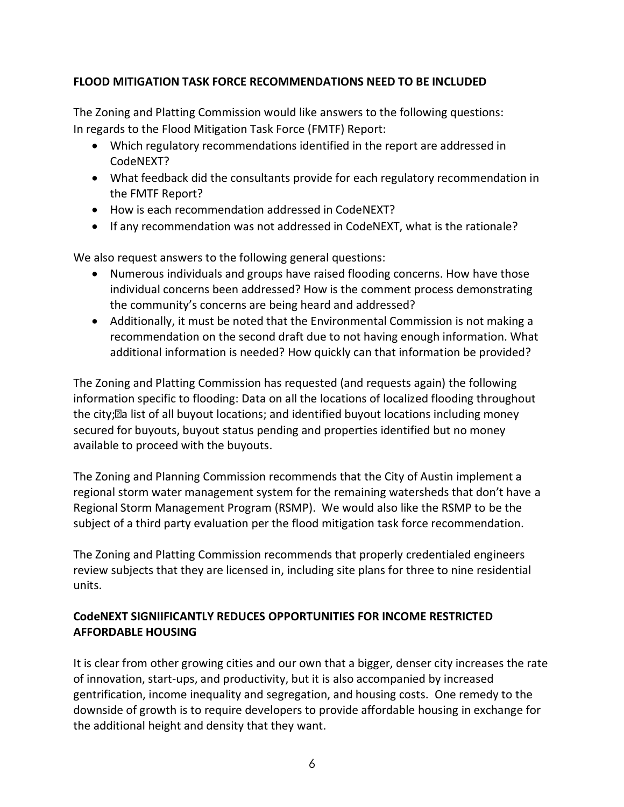# **FLOOD MITIGATION TASK FORCE RECOMMENDATIONS NEED TO BE INCLUDED**

The Zoning and Platting Commission would like answers to the following questions: In regards to the Flood Mitigation Task Force (FMTF) Report:

- Which regulatory recommendations identified in the report are addressed in CodeNEXT?
- What feedback did the consultants provide for each regulatory recommendation in the FMTF Report?
- How is each recommendation addressed in CodeNEXT?
- If any recommendation was not addressed in CodeNEXT, what is the rationale?

We also request answers to the following general questions:

- Numerous individuals and groups have raised flooding concerns. How have those individual concerns been addressed? How is the comment process demonstrating the community's concerns are being heard and addressed?
- Additionally, it must be noted that the Environmental Commission is not making a recommendation on the second draft due to not having enough information. What additional information is needed? How quickly can that information be provided?

The Zoning and Platting Commission has requested (and requests again) the following information specific to flooding: Data on all the locations of localized flooding throughout the city; a list of all buyout locations; and identified buyout locations including money secured for buyouts, buyout status pending and properties identified but no money available to proceed with the buyouts.

The Zoning and Planning Commission recommends that the City of Austin implement a regional storm water management system for the remaining watersheds that don't have a Regional Storm Management Program (RSMP). We would also like the RSMP to be the subject of a third party evaluation per the flood mitigation task force recommendation.

The Zoning and Platting Commission recommends that properly credentialed engineers review subjects that they are licensed in, including site plans for three to nine residential units.

# **CodeNEXT SIGNIIFICANTLY REDUCES OPPORTUNITIES FOR INCOME RESTRICTED AFFORDABLE HOUSING**

It is clear from other growing cities and our own that a bigger, denser city increases the rate of innovation, start-ups, and productivity, but it is also accompanied by increased gentrification, income inequality and segregation, and housing costs. One remedy to the downside of growth is to require developers to provide affordable housing in exchange for the additional height and density that they want.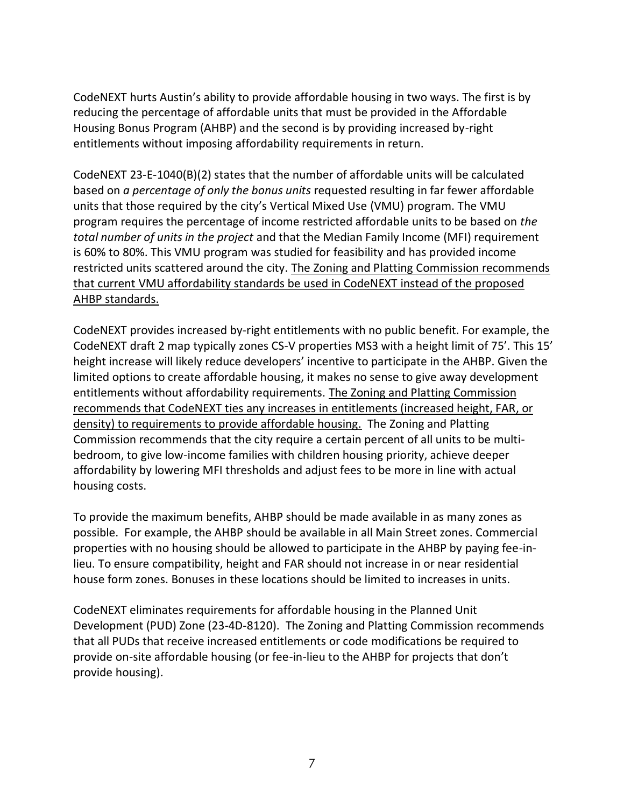CodeNEXT hurts Austin's ability to provide affordable housing in two ways. The first is by reducing the percentage of affordable units that must be provided in the Affordable Housing Bonus Program (AHBP) and the second is by providing increased by-right entitlements without imposing affordability requirements in return.

CodeNEXT 23-E-1040(B)(2) states that the number of affordable units will be calculated based on *a percentage of only the bonus units* requested resulting in far fewer affordable units that those required by the city's Vertical Mixed Use (VMU) program. The VMU program requires the percentage of income restricted affordable units to be based on *the total number of units in the project* and that the Median Family Income (MFI) requirement is 60% to 80%. This VMU program was studied for feasibility and has provided income restricted units scattered around the city. The Zoning and Platting Commission recommends that current VMU affordability standards be used in CodeNEXT instead of the proposed AHBP standards.

CodeNEXT provides increased by-right entitlements with no public benefit. For example, the CodeNEXT draft 2 map typically zones CS-V properties MS3 with a height limit of 75'. This 15' height increase will likely reduce developers' incentive to participate in the AHBP. Given the limited options to create affordable housing, it makes no sense to give away development entitlements without affordability requirements. The Zoning and Platting Commission recommends that CodeNEXT ties any increases in entitlements (increased height, FAR, or density) to requirements to provide affordable housing. The Zoning and Platting Commission recommends that the city require a certain percent of all units to be multibedroom, to give low-income families with children housing priority, achieve deeper affordability by lowering MFI thresholds and adjust fees to be more in line with actual housing costs.

To provide the maximum benefits, AHBP should be made available in as many zones as possible. For example, the AHBP should be available in all Main Street zones. Commercial properties with no housing should be allowed to participate in the AHBP by paying fee-inlieu. To ensure compatibility, height and FAR should not increase in or near residential house form zones. Bonuses in these locations should be limited to increases in units.

CodeNEXT eliminates requirements for affordable housing in the Planned Unit Development (PUD) Zone (23-4D-8120). The Zoning and Platting Commission recommends that all PUDs that receive increased entitlements or code modifications be required to provide on-site affordable housing (or fee-in-lieu to the AHBP for projects that don't provide housing).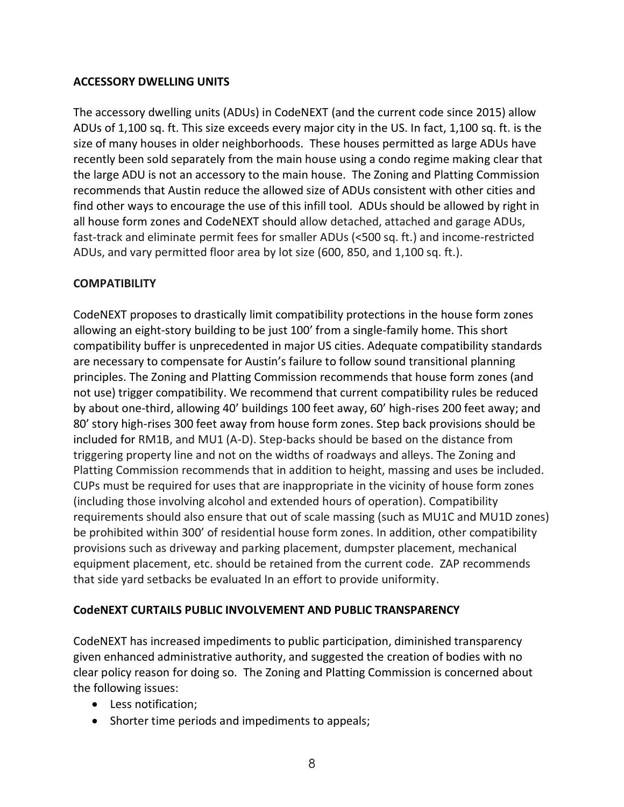## **ACCESSORY DWELLING UNITS**

The accessory dwelling units (ADUs) in CodeNEXT (and the current code since 2015) allow ADUs of 1,100 sq. ft. This size exceeds every major city in the US. In fact, 1,100 sq. ft. is the size of many houses in older neighborhoods. These houses permitted as large ADUs have recently been sold separately from the main house using a condo regime making clear that the large ADU is not an accessory to the main house. The Zoning and Platting Commission recommends that Austin reduce the allowed size of ADUs consistent with other cities and find other ways to encourage the use of this infill tool. ADUs should be allowed by right in all house form zones and CodeNEXT should allow detached, attached and garage ADUs, fast-track and eliminate permit fees for smaller ADUs (<500 sq. ft.) and income-restricted ADUs, and vary permitted floor area by lot size (600, 850, and 1,100 sq. ft.).

# **COMPATIBILITY**

CodeNEXT proposes to drastically limit compatibility protections in the house form zones allowing an eight-story building to be just 100' from a single-family home. This short compatibility buffer is unprecedented in major US cities. Adequate compatibility standards are necessary to compensate for Austin's failure to follow sound transitional planning principles. The Zoning and Platting Commission recommends that house form zones (and not use) trigger compatibility. We recommend that current compatibility rules be reduced by about one-third, allowing 40' buildings 100 feet away, 60' high-rises 200 feet away; and 80' story high-rises 300 feet away from house form zones. Step back provisions should be included for RM1B, and MU1 (A-D). Step-backs should be based on the distance from triggering property line and not on the widths of roadways and alleys. The Zoning and Platting Commission recommends that in addition to height, massing and uses be included. CUPs must be required for uses that are inappropriate in the vicinity of house form zones (including those involving alcohol and extended hours of operation). Compatibility requirements should also ensure that out of scale massing (such as MU1C and MU1D zones) be prohibited within 300' of residential house form zones. In addition, other compatibility provisions such as driveway and parking placement, dumpster placement, mechanical equipment placement, etc. should be retained from the current code. ZAP recommends that side yard setbacks be evaluated In an effort to provide uniformity.

# **CodeNEXT CURTAILS PUBLIC INVOLVEMENT AND PUBLIC TRANSPARENCY**

CodeNEXT has increased impediments to public participation, diminished transparency given enhanced administrative authority, and suggested the creation of bodies with no clear policy reason for doing so. The Zoning and Platting Commission is concerned about the following issues:

- Less notification;
- Shorter time periods and impediments to appeals;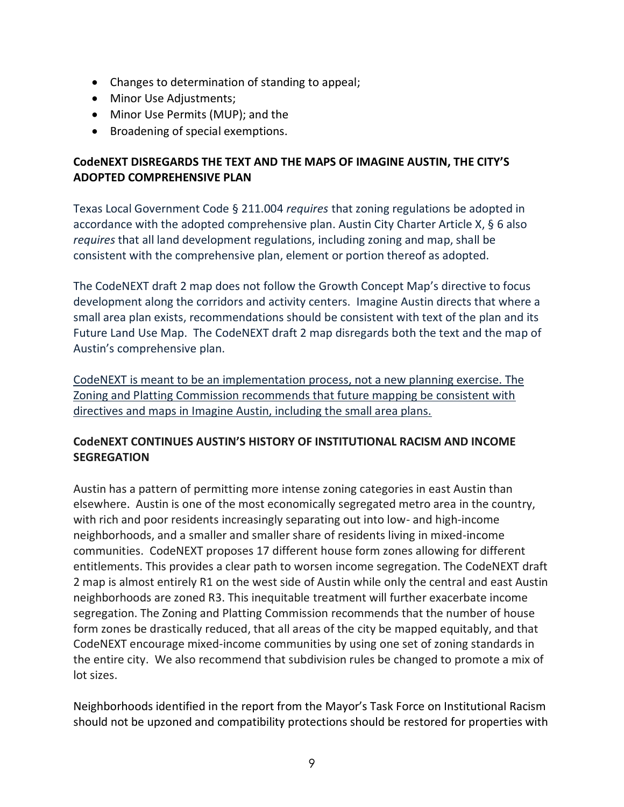- Changes to determination of standing to appeal;
- Minor Use Adjustments;
- Minor Use Permits (MUP); and the
- Broadening of special exemptions.

# **CodeNEXT DISREGARDS THE TEXT AND THE MAPS OF IMAGINE AUSTIN, THE CITY'S ADOPTED COMPREHENSIVE PLAN**

Texas Local Government Code § 211.004 *requires* that zoning regulations be adopted in accordance with the adopted comprehensive plan. Austin City Charter Article X, § 6 also *requires* that all land development regulations, including zoning and map, shall be consistent with the comprehensive plan, element or portion thereof as adopted.

The CodeNEXT draft 2 map does not follow the Growth Concept Map's directive to focus development along the corridors and activity centers. Imagine Austin directs that where a small area plan exists, recommendations should be consistent with text of the plan and its Future Land Use Map. The CodeNEXT draft 2 map disregards both the text and the map of Austin's comprehensive plan.

CodeNEXT is meant to be an implementation process, not a new planning exercise. The Zoning and Platting Commission recommends that future mapping be consistent with directives and maps in Imagine Austin, including the small area plans.

# **CodeNEXT CONTINUES AUSTIN'S HISTORY OF INSTITUTIONAL RACISM AND INCOME SEGREGATION**

Austin has a pattern of permitting more intense zoning categories in east Austin than elsewhere. Austin is one of the most economically segregated metro area in the country, with rich and poor residents increasingly separating out into low- and high-income neighborhoods, and a smaller and smaller share of residents living in mixed-income communities. CodeNEXT proposes 17 different house form zones allowing for different entitlements. This provides a clear path to worsen income segregation. The CodeNEXT draft 2 map is almost entirely R1 on the west side of Austin while only the central and east Austin neighborhoods are zoned R3. This inequitable treatment will further exacerbate income segregation. The Zoning and Platting Commission recommends that the number of house form zones be drastically reduced, that all areas of the city be mapped equitably, and that CodeNEXT encourage mixed-income communities by using one set of zoning standards in the entire city. We also recommend that subdivision rules be changed to promote a mix of lot sizes.

Neighborhoods identified in the report from the Mayor's Task Force on Institutional Racism should not be upzoned and compatibility protections should be restored for properties with